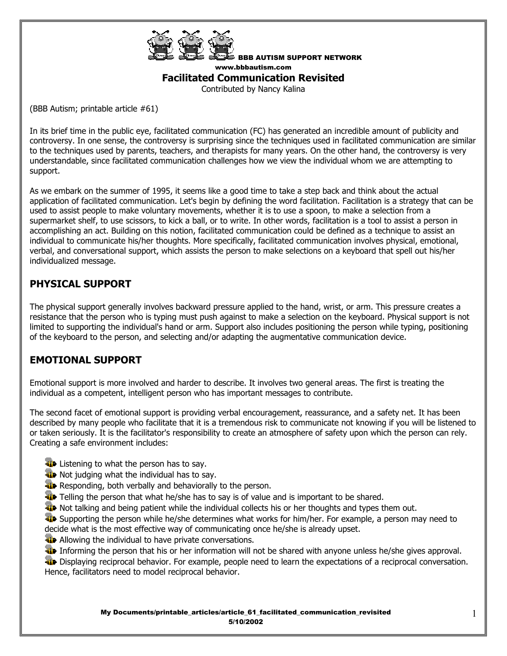

BBB AUTISM SUPPORT NETWORK www.bbbautism.com

### **Facilitated Communication Revisited**

Contributed by Nancy Kalina

(BBB Autism; printable article #61)

In its brief time in the public eye, facilitated communication (FC) has generated an incredible amount of publicity and controversy. In one sense, the controversy is surprising since the techniques used in facilitated communication are similar to the techniques used by parents, teachers, and therapists for many years. On the other hand, the controversy is very understandable, since facilitated communication challenges how we view the individual whom we are attempting to support.

As we embark on the summer of 1995, it seems like a good time to take a step back and think about the actual application of facilitated communication. Let's begin by defining the word facilitation. Facilitation is a strategy that can be used to assist people to make voluntary movements, whether it is to use a spoon, to make a selection from a supermarket shelf, to use scissors, to kick a ball, or to write. In other words, facilitation is a tool to assist a person in accomplishing an act. Building on this notion, facilitated communication could be defined as a technique to assist an individual to communicate his/her thoughts. More specifically, facilitated communication involves physical, emotional, verbal, and conversational support, which assists the person to make selections on a keyboard that spell out his/her individualized message.

# **PHYSICAL SUPPORT**

The physical support generally involves backward pressure applied to the hand, wrist, or arm. This pressure creates a resistance that the person who is typing must push against to make a selection on the keyboard. Physical support is not limited to supporting the individual's hand or arm. Support also includes positioning the person while typing, positioning of the keyboard to the person, and selecting and/or adapting the augmentative communication device.

### **EMOTIONAL SUPPORT**

Emotional support is more involved and harder to describe. It involves two general areas. The first is treating the individual as a competent, intelligent person who has important messages to contribute.

The second facet of emotional support is providing verbal encouragement, reassurance, and a safety net. It has been described by many people who facilitate that it is a tremendous risk to communicate not knowing if you will be listened to or taken seriously. It is the facilitator's responsibility to create an atmosphere of safety upon which the person can rely. Creating a safe environment includes:

- **Listening to what the person has to say.**
- **W** Not judging what the individual has to say.
- **Responding, both verbally and behaviorally to the person.**
- Telling the person that what he/she has to say is of value and is important to be shared.
- Not talking and being patient while the individual collects his or her thoughts and types them out.

**W** Supporting the person while he/she determines what works for him/her. For example, a person may need to decide what is the most effective way of communicating once he/she is already upset.

- **Allowing the individual to have private conversations.**
- Informing the person that his or her information will not be shared with anyone unless he/she gives approval.

Displaying reciprocal behavior. For example, people need to learn the expectations of a reciprocal conversation. Hence, facilitators need to model reciprocal behavior.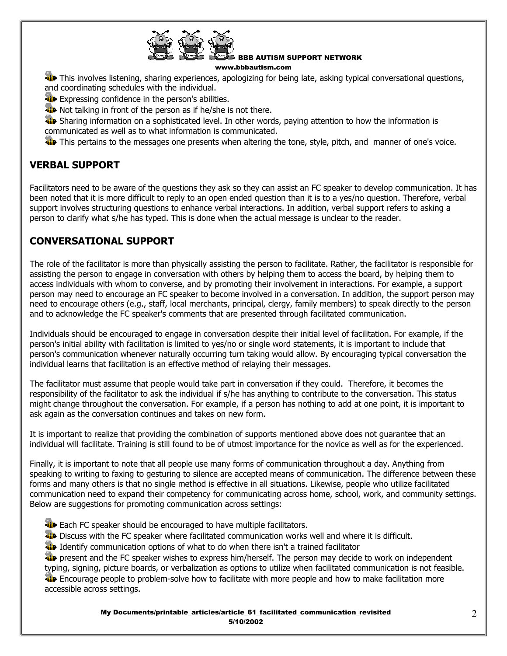

BBB AUTISM SUPPORT NETWORK

#### www.bbbautism.com

This involves listening, sharing experiences, apologizing for being late, asking typical conversational questions, and coordinating schedules with the individual.

**Expressing confidence in the person's abilities.** 

**W** Not talking in front of the person as if he/she is not there.

**The Sharing information on a sophisticated level. In other words, paying attention to how the information is** communicated as well as to what information is communicated.

This pertains to the messages one presents when altering the tone, style, pitch, and manner of one's voice.

# **VERBAL SUPPORT**

Facilitators need to be aware of the questions they ask so they can assist an FC speaker to develop communication. It has been noted that it is more difficult to reply to an open ended question than it is to a yes/no question. Therefore, verbal support involves structuring questions to enhance verbal interactions. In addition, verbal support refers to asking a person to clarify what s/he has typed. This is done when the actual message is unclear to the reader.

# **CONVERSATIONAL SUPPORT**

The role of the facilitator is more than physically assisting the person to facilitate. Rather, the facilitator is responsible for assisting the person to engage in conversation with others by helping them to access the board, by helping them to access individuals with whom to converse, and by promoting their involvement in interactions. For example, a support person may need to encourage an FC speaker to become involved in a conversation. In addition, the support person may need to encourage others (e.g., staff, local merchants, principal, clergy, family members) to speak directly to the person and to acknowledge the FC speaker's comments that are presented through facilitated communication.

Individuals should be encouraged to engage in conversation despite their initial level of facilitation. For example, if the person's initial ability with facilitation is limited to yes/no or single word statements, it is important to include that person's communication whenever naturally occurring turn taking would allow. By encouraging typical conversation the individual learns that facilitation is an effective method of relaying their messages.

The facilitator must assume that people would take part in conversation if they could. Therefore, it becomes the responsibility of the facilitator to ask the individual if s/he has anything to contribute to the conversation. This status might change throughout the conversation. For example, if a person has nothing to add at one point, it is important to ask again as the conversation continues and takes on new form.

It is important to realize that providing the combination of supports mentioned above does not guarantee that an individual will facilitate. Training is still found to be of utmost importance for the novice as well as for the experienced.

Finally, it is important to note that all people use many forms of communication throughout a day. Anything from speaking to writing to faxing to gesturing to silence are accepted means of communication. The difference between these forms and many others is that no single method is effective in all situations. Likewise, people who utilize facilitated communication need to expand their competency for communicating across home, school, work, and community settings. Below are suggestions for promoting communication across settings:

- **Each FC speaker should be encouraged to have multiple facilitators.**
- **The Discuss with the FC speaker where facilitated communication works well and where it is difficult.**
- I Identify communication options of what to do when there isn't a trained facilitator

**Fi** present and the FC speaker wishes to express him/herself. The person may decide to work on independent typing, signing, picture boards, or verbalization as options to utilize when facilitated communication is not feasible.

**Encourage people to problem-solve how to facilitate with more people and how to make facilitation more** accessible across settings.

> My Documents/printable\_articles/article\_61\_facilitated\_communication\_revisited 5/10/2002